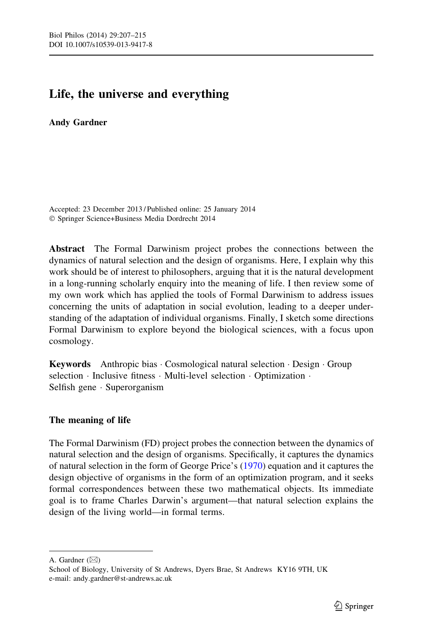# Life, the universe and everything

Andy Gardner

Accepted: 23 December 2013 / Published online: 25 January 2014 - Springer Science+Business Media Dordrecht 2014

Abstract The Formal Darwinism project probes the connections between the dynamics of natural selection and the design of organisms. Here, I explain why this work should be of interest to philosophers, arguing that it is the natural development in a long-running scholarly enquiry into the meaning of life. I then review some of my own work which has applied the tools of Formal Darwinism to address issues concerning the units of adaptation in social evolution, leading to a deeper understanding of the adaptation of individual organisms. Finally, I sketch some directions Formal Darwinism to explore beyond the biological sciences, with a focus upon cosmology.

Keywords Anthropic bias · Cosmological natural selection · Design · Group selection · Inclusive fitness · Multi-level selection · Optimization · Selfish gene - Superorganism

# The meaning of life

The Formal Darwinism (FD) project probes the connection between the dynamics of natural selection and the design of organisms. Specifically, it captures the dynamics of natural selection in the form of George Price's ([1970\)](#page-8-0) equation and it captures the design objective of organisms in the form of an optimization program, and it seeks formal correspondences between these two mathematical objects. Its immediate goal is to frame Charles Darwin's argument—that natural selection explains the design of the living world—in formal terms.

A. Gardner  $(\boxtimes)$ 

School of Biology, University of St Andrews, Dyers Brae, St Andrews KY16 9TH, UK e-mail: andy.gardner@st-andrews.ac.uk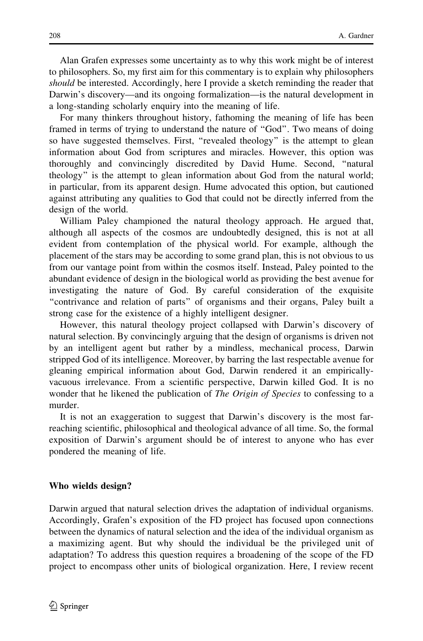Alan Grafen expresses some uncertainty as to why this work might be of interest to philosophers. So, my first aim for this commentary is to explain why philosophers should be interested. Accordingly, here I provide a sketch reminding the reader that Darwin's discovery—and its ongoing formalization—is the natural development in a long-standing scholarly enquiry into the meaning of life.

For many thinkers throughout history, fathoming the meaning of life has been framed in terms of trying to understand the nature of ''God''. Two means of doing so have suggested themselves. First, ''revealed theology'' is the attempt to glean information about God from scriptures and miracles. However, this option was thoroughly and convincingly discredited by David Hume. Second, ''natural theology'' is the attempt to glean information about God from the natural world; in particular, from its apparent design. Hume advocated this option, but cautioned against attributing any qualities to God that could not be directly inferred from the design of the world.

William Paley championed the natural theology approach. He argued that, although all aspects of the cosmos are undoubtedly designed, this is not at all evident from contemplation of the physical world. For example, although the placement of the stars may be according to some grand plan, this is not obvious to us from our vantage point from within the cosmos itself. Instead, Paley pointed to the abundant evidence of design in the biological world as providing the best avenue for investigating the nature of God. By careful consideration of the exquisite ''contrivance and relation of parts'' of organisms and their organs, Paley built a strong case for the existence of a highly intelligent designer.

However, this natural theology project collapsed with Darwin's discovery of natural selection. By convincingly arguing that the design of organisms is driven not by an intelligent agent but rather by a mindless, mechanical process, Darwin stripped God of its intelligence. Moreover, by barring the last respectable avenue for gleaning empirical information about God, Darwin rendered it an empiricallyvacuous irrelevance. From a scientific perspective, Darwin killed God. It is no wonder that he likened the publication of *The Origin of Species* to confessing to a murder.

It is not an exaggeration to suggest that Darwin's discovery is the most farreaching scientific, philosophical and theological advance of all time. So, the formal exposition of Darwin's argument should be of interest to anyone who has ever pondered the meaning of life.

## Who wields design?

Darwin argued that natural selection drives the adaptation of individual organisms. Accordingly, Grafen's exposition of the FD project has focused upon connections between the dynamics of natural selection and the idea of the individual organism as a maximizing agent. But why should the individual be the privileged unit of adaptation? To address this question requires a broadening of the scope of the FD project to encompass other units of biological organization. Here, I review recent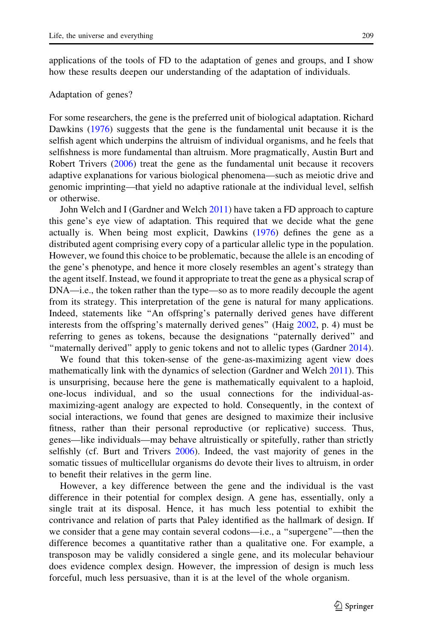applications of the tools of FD to the adaptation of genes and groups, and I show how these results deepen our understanding of the adaptation of individuals.

#### Adaptation of genes?

For some researchers, the gene is the preferred unit of biological adaptation. Richard Dawkins ([1976\)](#page-8-0) suggests that the gene is the fundamental unit because it is the selfish agent which underpins the altruism of individual organisms, and he feels that selfishness is more fundamental than altruism. More pragmatically, Austin Burt and Robert Trivers [\(2006](#page-8-0)) treat the gene as the fundamental unit because it recovers adaptive explanations for various biological phenomena—such as meiotic drive and genomic imprinting—that yield no adaptive rationale at the individual level, selfish or otherwise.

John Welch and I (Gardner and Welch [2011\)](#page-8-0) have taken a FD approach to capture this gene's eye view of adaptation. This required that we decide what the gene actually is. When being most explicit, Dawkins [\(1976](#page-8-0)) defines the gene as a distributed agent comprising every copy of a particular allelic type in the population. However, we found this choice to be problematic, because the allele is an encoding of the gene's phenotype, and hence it more closely resembles an agent's strategy than the agent itself. Instead, we found it appropriate to treat the gene as a physical scrap of DNA—i.e., the token rather than the type—so as to more readily decouple the agent from its strategy. This interpretation of the gene is natural for many applications. Indeed, statements like ''An offspring's paternally derived genes have different interests from the offspring's maternally derived genes'' (Haig [2002,](#page-8-0) p. 4) must be referring to genes as tokens, because the designations ''paternally derived'' and "maternally derived" apply to genic tokens and not to allelic types (Gardner [2014\)](#page-8-0).

We found that this token-sense of the gene-as-maximizing agent view does mathematically link with the dynamics of selection (Gardner and Welch [2011](#page-8-0)). This is unsurprising, because here the gene is mathematically equivalent to a haploid, one-locus individual, and so the usual connections for the individual-asmaximizing-agent analogy are expected to hold. Consequently, in the context of social interactions, we found that genes are designed to maximize their inclusive fitness, rather than their personal reproductive (or replicative) success. Thus, genes—like individuals—may behave altruistically or spitefully, rather than strictly selfishly (cf. Burt and Trivers [2006](#page-8-0)). Indeed, the vast majority of genes in the somatic tissues of multicellular organisms do devote their lives to altruism, in order to benefit their relatives in the germ line.

However, a key difference between the gene and the individual is the vast difference in their potential for complex design. A gene has, essentially, only a single trait at its disposal. Hence, it has much less potential to exhibit the contrivance and relation of parts that Paley identified as the hallmark of design. If we consider that a gene may contain several codons—i.e., a ''supergene''—then the difference becomes a quantitative rather than a qualitative one. For example, a transposon may be validly considered a single gene, and its molecular behaviour does evidence complex design. However, the impression of design is much less forceful, much less persuasive, than it is at the level of the whole organism.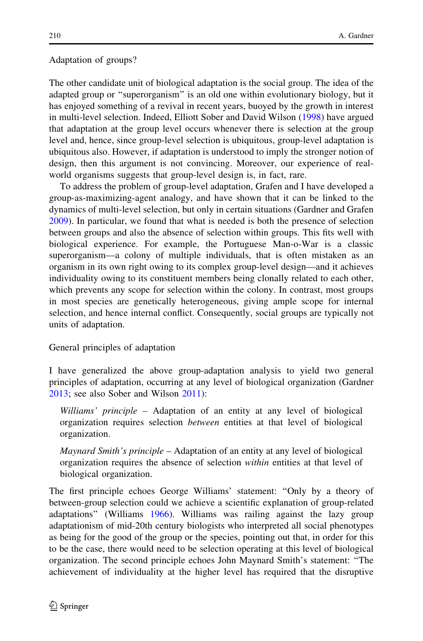## Adaptation of groups?

The other candidate unit of biological adaptation is the social group. The idea of the adapted group or ''superorganism'' is an old one within evolutionary biology, but it has enjoyed something of a revival in recent years, buoyed by the growth in interest in multi-level selection. Indeed, Elliott Sober and David Wilson ([1998\)](#page-8-0) have argued that adaptation at the group level occurs whenever there is selection at the group level and, hence, since group-level selection is ubiquitous, group-level adaptation is ubiquitous also. However, if adaptation is understood to imply the stronger notion of design, then this argument is not convincing. Moreover, our experience of realworld organisms suggests that group-level design is, in fact, rare.

To address the problem of group-level adaptation, Grafen and I have developed a group-as-maximizing-agent analogy, and have shown that it can be linked to the dynamics of multi-level selection, but only in certain situations (Gardner and Grafen [2009\)](#page-8-0). In particular, we found that what is needed is both the presence of selection between groups and also the absence of selection within groups. This fits well with biological experience. For example, the Portuguese Man-o-War is a classic superorganism—a colony of multiple individuals, that is often mistaken as an organism in its own right owing to its complex group-level design—and it achieves individuality owing to its constituent members being clonally related to each other, which prevents any scope for selection within the colony. In contrast, most groups in most species are genetically heterogeneous, giving ample scope for internal selection, and hence internal conflict. Consequently, social groups are typically not units of adaptation.

General principles of adaptation

I have generalized the above group-adaptation analysis to yield two general principles of adaptation, occurring at any level of biological organization (Gardner [2013;](#page-8-0) see also Sober and Wilson [2011](#page-8-0)):

Williams' principle – Adaptation of an entity at any level of biological organization requires selection between entities at that level of biological organization.

Maynard Smith's principle – Adaptation of an entity at any level of biological organization requires the absence of selection within entities at that level of biological organization.

The first principle echoes George Williams' statement: ''Only by a theory of between-group selection could we achieve a scientific explanation of group-related adaptations" (Williams [1966\)](#page-8-0). Williams was railing against the lazy group adaptationism of mid-20th century biologists who interpreted all social phenotypes as being for the good of the group or the species, pointing out that, in order for this to be the case, there would need to be selection operating at this level of biological organization. The second principle echoes John Maynard Smith's statement: ''The achievement of individuality at the higher level has required that the disruptive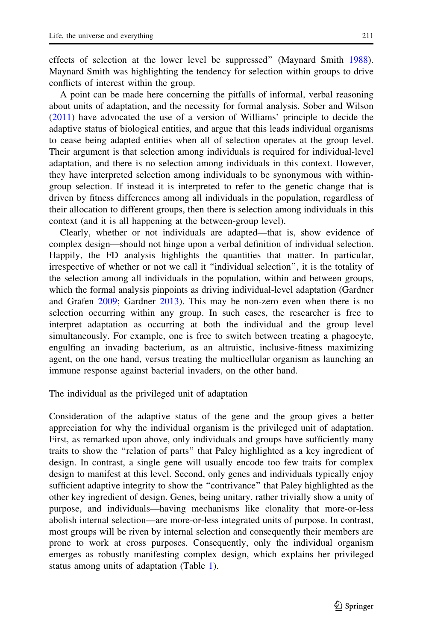effects of selection at the lower level be suppressed'' (Maynard Smith [1988\)](#page-8-0). Maynard Smith was highlighting the tendency for selection within groups to drive conflicts of interest within the group.

A point can be made here concerning the pitfalls of informal, verbal reasoning about units of adaptation, and the necessity for formal analysis. Sober and Wilson [\(2011](#page-8-0)) have advocated the use of a version of Williams' principle to decide the adaptive status of biological entities, and argue that this leads individual organisms to cease being adapted entities when all of selection operates at the group level. Their argument is that selection among individuals is required for individual-level adaptation, and there is no selection among individuals in this context. However, they have interpreted selection among individuals to be synonymous with withingroup selection. If instead it is interpreted to refer to the genetic change that is driven by fitness differences among all individuals in the population, regardless of their allocation to different groups, then there is selection among individuals in this context (and it is all happening at the between-group level).

Clearly, whether or not individuals are adapted—that is, show evidence of complex design—should not hinge upon a verbal definition of individual selection. Happily, the FD analysis highlights the quantities that matter. In particular, irrespective of whether or not we call it ''individual selection'', it is the totality of the selection among all individuals in the population, within and between groups, which the formal analysis pinpoints as driving individual-level adaptation (Gardner and Grafen [2009;](#page-8-0) Gardner [2013](#page-8-0)). This may be non-zero even when there is no selection occurring within any group. In such cases, the researcher is free to interpret adaptation as occurring at both the individual and the group level simultaneously. For example, one is free to switch between treating a phagocyte, engulfing an invading bacterium, as an altruistic, inclusive-fitness maximizing agent, on the one hand, versus treating the multicellular organism as launching an immune response against bacterial invaders, on the other hand.

The individual as the privileged unit of adaptation

Consideration of the adaptive status of the gene and the group gives a better appreciation for why the individual organism is the privileged unit of adaptation. First, as remarked upon above, only individuals and groups have sufficiently many traits to show the ''relation of parts'' that Paley highlighted as a key ingredient of design. In contrast, a single gene will usually encode too few traits for complex design to manifest at this level. Second, only genes and individuals typically enjoy sufficient adaptive integrity to show the ''contrivance'' that Paley highlighted as the other key ingredient of design. Genes, being unitary, rather trivially show a unity of purpose, and individuals—having mechanisms like clonality that more-or-less abolish internal selection—are more-or-less integrated units of purpose. In contrast, most groups will be riven by internal selection and consequently their members are prone to work at cross purposes. Consequently, only the individual organism emerges as robustly manifesting complex design, which explains her privileged status among units of adaptation (Table [1\)](#page-7-0).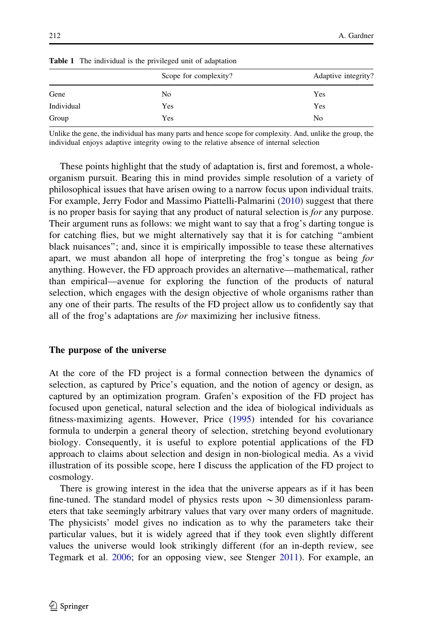|            | Scope for complexity? | Adaptive integrity? |
|------------|-----------------------|---------------------|
| Gene       | N <sub>0</sub>        | Yes                 |
| Individual | Yes                   | Yes                 |
| Group      | Yes                   | No                  |

<span id="page-5-0"></span>Table 1 The individual is the privileged unit of adaptation

Unlike the gene, the individual has many parts and hence scope for complexity. And, unlike the group, the individual enjoys adaptive integrity owing to the relative absence of internal selection

These points highlight that the study of adaptation is, first and foremost, a wholeorganism pursuit. Bearing this in mind provides simple resolution of a variety of philosophical issues that have arisen owing to a narrow focus upon individual traits. For example, Jerry Fodor and Massimo Piattelli-Palmarini ([2010\)](#page-8-0) suggest that there is no proper basis for saying that any product of natural selection is *for* any purpose. Their argument runs as follows: we might want to say that a frog's darting tongue is for catching flies, but we might alternatively say that it is for catching ''ambient black nuisances''; and, since it is empirically impossible to tease these alternatives apart, we must abandon all hope of interpreting the frog's tongue as being for anything. However, the FD approach provides an alternative—mathematical, rather than empirical—avenue for exploring the function of the products of natural selection, which engages with the design objective of whole organisms rather than any one of their parts. The results of the FD project allow us to confidently say that all of the frog's adaptations are for maximizing her inclusive fitness.

## The purpose of the universe

At the core of the FD project is a formal connection between the dynamics of selection, as captured by Price's equation, and the notion of agency or design, as captured by an optimization program. Grafen's exposition of the FD project has focused upon genetical, natural selection and the idea of biological individuals as fitness-maximizing agents. However, Price [\(1995](#page-8-0)) intended for his covariance formula to underpin a general theory of selection, stretching beyond evolutionary biology. Consequently, it is useful to explore potential applications of the FD approach to claims about selection and design in non-biological media. As a vivid illustration of its possible scope, here I discuss the application of the FD project to cosmology.

There is growing interest in the idea that the universe appears as if it has been fine-tuned. The standard model of physics rests upon  $\sim$  30 dimensionless parameters that take seemingly arbitrary values that vary over many orders of magnitude. The physicists' model gives no indication as to why the parameters take their particular values, but it is widely agreed that if they took even slightly different values the universe would look strikingly different (for an in-depth review, see Tegmark et al. [2006](#page-8-0); for an opposing view, see Stenger [2011\)](#page-8-0). For example, an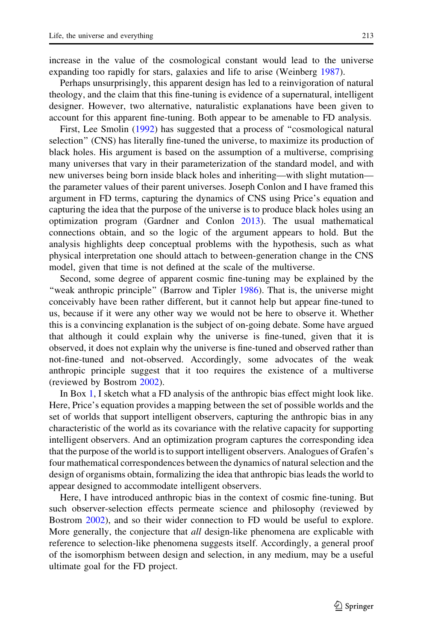increase in the value of the cosmological constant would lead to the universe expanding too rapidly for stars, galaxies and life to arise (Weinberg [1987](#page-8-0)).

Perhaps unsurprisingly, this apparent design has led to a reinvigoration of natural theology, and the claim that this fine-tuning is evidence of a supernatural, intelligent designer. However, two alternative, naturalistic explanations have been given to account for this apparent fine-tuning. Both appear to be amenable to FD analysis.

First, Lee Smolin ([1992\)](#page-8-0) has suggested that a process of ''cosmological natural selection'' (CNS) has literally fine-tuned the universe, to maximize its production of black holes. His argument is based on the assumption of a multiverse, comprising many universes that vary in their parameterization of the standard model, and with new universes being born inside black holes and inheriting—with slight mutation the parameter values of their parent universes. Joseph Conlon and I have framed this argument in FD terms, capturing the dynamics of CNS using Price's equation and capturing the idea that the purpose of the universe is to produce black holes using an optimization program (Gardner and Conlon [2013\)](#page-8-0). The usual mathematical connections obtain, and so the logic of the argument appears to hold. But the analysis highlights deep conceptual problems with the hypothesis, such as what physical interpretation one should attach to between-generation change in the CNS model, given that time is not defined at the scale of the multiverse.

Second, some degree of apparent cosmic fine-tuning may be explained by the "weak anthropic principle" (Barrow and Tipler [1986\)](#page-8-0). That is, the universe might conceivably have been rather different, but it cannot help but appear fine-tuned to us, because if it were any other way we would not be here to observe it. Whether this is a convincing explanation is the subject of on-going debate. Some have argued that although it could explain why the universe is fine-tuned, given that it is observed, it does not explain why the universe is fine-tuned and observed rather than not-fine-tuned and not-observed. Accordingly, some advocates of the weak anthropic principle suggest that it too requires the existence of a multiverse (reviewed by Bostrom [2002](#page-8-0)).

In Box [1](#page-5-0), I sketch what a FD analysis of the anthropic bias effect might look like. Here, Price's equation provides a mapping between the set of possible worlds and the set of worlds that support intelligent observers, capturing the anthropic bias in any characteristic of the world as its covariance with the relative capacity for supporting intelligent observers. And an optimization program captures the corresponding idea that the purpose of the world is to support intelligent observers. Analogues of Grafen's four mathematical correspondences between the dynamics of natural selection and the design of organisms obtain, formalizing the idea that anthropic bias leads the world to appear designed to accommodate intelligent observers.

Here, I have introduced anthropic bias in the context of cosmic fine-tuning. But such observer-selection effects permeate science and philosophy (reviewed by Bostrom [2002](#page-8-0)), and so their wider connection to FD would be useful to explore. More generally, the conjecture that *all* design-like phenomena are explicable with reference to selection-like phenomena suggests itself. Accordingly, a general proof of the isomorphism between design and selection, in any medium, may be a useful ultimate goal for the FD project.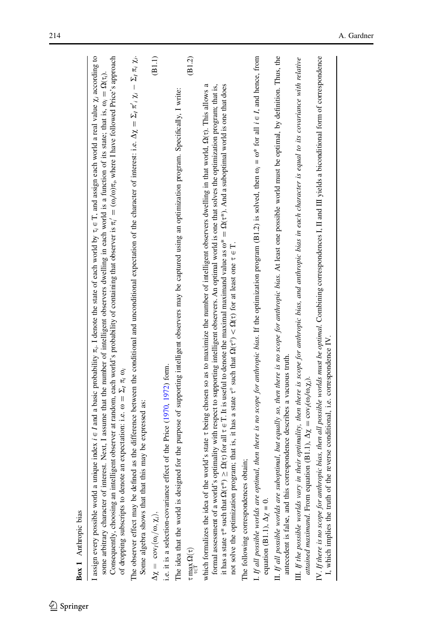<span id="page-7-0"></span>

| Box 1 Anthropic bias                                                                                                                                                                                                                                                                                                                                                                                                                                                                                                                                                                                                                                                                                                                         |
|----------------------------------------------------------------------------------------------------------------------------------------------------------------------------------------------------------------------------------------------------------------------------------------------------------------------------------------------------------------------------------------------------------------------------------------------------------------------------------------------------------------------------------------------------------------------------------------------------------------------------------------------------------------------------------------------------------------------------------------------|
| Consequently, choosing an intelligent observer at random, each world's probability of containing that observer is $\pi_i' = (\omega_i/\omega)\pi_i$ , where I have followed Price's approach<br>I assign every possible world a unique index <i>i</i> $\epsilon$ I and a basic probability $\pi$ , I denote the state of each world by $\tau_i \in T$ , and assign each world a real value $\chi_i$ according to<br>interest. Next, I assume that the number of intelligent observers dwelling in each world is a function of its state; that is, $\omega_i = \Omega(\tau_i)$ .<br>of dropping subscripts to denote an expectation: i.e. $\omega = \Sigma_1 \pi_i \omega_i$<br>some arbitrary character of                                   |
| The observer effect may be defined as the difference between the conditional and unconditional expectation of the character of interest: i.e. $\Delta \chi = \Sigma_1 \pi_1 \chi_1 - \Sigma_1 \pi_1 \chi_2$ .<br>Some algebra shows that that this may be expressed as:                                                                                                                                                                                                                                                                                                                                                                                                                                                                      |
| (B1.1)<br>$\Delta \chi = \text{ cov}_I(\omega_i/\omega, \chi_i),$                                                                                                                                                                                                                                                                                                                                                                                                                                                                                                                                                                                                                                                                            |
| effect of the Price (1970, 1972) form.<br>i.e. it is a selection-covariance                                                                                                                                                                                                                                                                                                                                                                                                                                                                                                                                                                                                                                                                  |
| igned for the purpose of supporting intelligent observers may be captured using an optimization program. Specifically, I write:<br>The idea that the world is des                                                                                                                                                                                                                                                                                                                                                                                                                                                                                                                                                                            |
| (B1.2)<br>$\tau \max_{\tau \in T} \Omega(\tau)$                                                                                                                                                                                                                                                                                                                                                                                                                                                                                                                                                                                                                                                                                              |
| it has a state $\tau^*$ such that $\Omega(\tau^*) \geq \Omega(\tau)$ for all $\tau \in T$ . It is useful to denote the maximal maximand value as of $\equiv \Omega(\tau^*)$ . And a suboptimal world is one that does<br>which formalizes the idea of the world's state $\tau$ being chosen so as to maximize the number of intelligent observers dwelling in that world, $\Omega(\tau)$ . This allows a<br>'s optimality with respect to supporting intelligent observers. An optimal world is one that solves the optimization program; that is,<br>not solve the optimization program; that is, it has a state $\tau^{\circ}$ such that $\Omega(\tau^{\circ}) < \Omega(\tau)$ for at least one $\tau \in$<br>formal assessment of a world |
| The following correspondences obtain;                                                                                                                                                                                                                                                                                                                                                                                                                                                                                                                                                                                                                                                                                                        |
| I. If all possible worlds are optimal, then there is no scope for anthropic bias. If the optimization program (B1.2) is solved, then $\omega_i = \omega^*$ for all $i \in I$ , and hence, from<br>equation (B1.1), $\Delta \chi = 0$ .                                                                                                                                                                                                                                                                                                                                                                                                                                                                                                       |
| II. If all possible worlds are suboptimal, but equally so, then there is no scope for anthropic bias. At least one possible world must be optimal, by definition. Thus, the<br>antecedent is false, and this correspondence describes a vacuous truth                                                                                                                                                                                                                                                                                                                                                                                                                                                                                        |
| III. If the possible worlds vary in their optimality, then there is scope for anthropic bias, and anthropic bias in each character is equal to its covariance with relative<br>attained maximand. From equation (B1.1), $\Delta \chi = \text{cov}_{I}(\omega_{I} / \omega_{Xi})$ .                                                                                                                                                                                                                                                                                                                                                                                                                                                           |
| IV. If there is no scope for anthropic bias, then all possible worlds must be optimal. Combining correspondences I, II and III yields a biconditional form of correspondence<br>the reverse conditional, i.e. correspondence IV<br>I, which implies the truth of                                                                                                                                                                                                                                                                                                                                                                                                                                                                             |
|                                                                                                                                                                                                                                                                                                                                                                                                                                                                                                                                                                                                                                                                                                                                              |